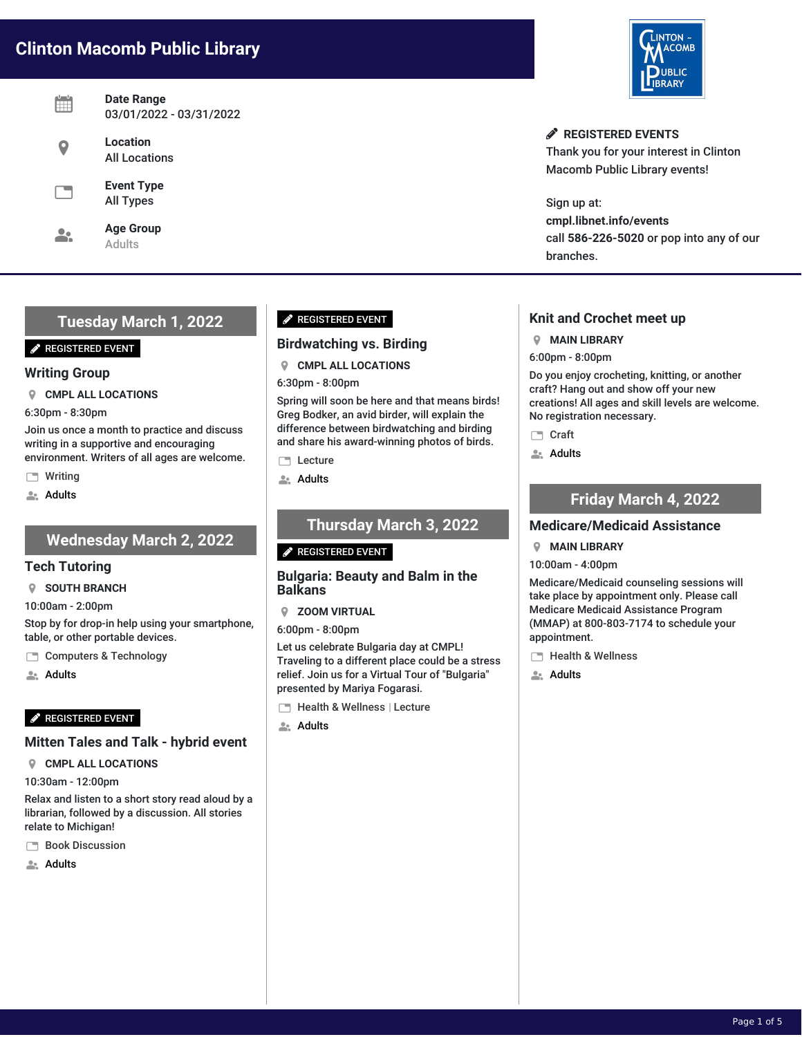# **Clinton Macomb Public Library**

| Date Range<br>03/01/2022 - 03/31/2022 |
|---------------------------------------|
| Location<br><b>All Locations</b>      |
| <b>Event Type</b><br><b>All Types</b> |
| <b>Age Group</b><br>Adults            |

## **Tuesday March 1, 2022**

#### **P** REGISTERED EVENT

#### **Writing Group**

**CMPL ALL LOCATIONS**

6:30pm - 8:30pm

Join us once a month to practice and discuss writing in a supportive and encouraging environment. Writers of all ages are welcome.

**Writing** 

**Adults** 

## **Wednesday March 2, 2022**

#### **Tech Tutoring**

**SOUTH BRANCH**

10:00am - 2:00pm

Stop by for drop-in help using your smartphone, table, or other portable devices.

Computers & Technology

**Adults** 

### **P** REGISTERED EVENT

### **Mitten Tales and Talk - hybrid event**

**CMPL ALL LOCATIONS**

10:30am - 12:00pm

Relax and listen to a short story read aloud by a librarian, followed by a discussion. All stories relate to Michigan!

**Book Discussion** 

**Adults** 

## **P** REGISTERED EVENT

### **Birdwatching vs. Birding**

## **CMPL ALL LOCATIONS**

6:30pm - 8:00pm

Spring will soon be here and that means birds! Greg Bodker, an avid birder, will explain the difference between birdwatching and birding and share his award-winning photos of birds.

**Lecture** 

**Adults** 

## **Thursday March 3, 2022**

#### **P** REGISTERED EVENT

#### **Bulgaria: Beauty and Balm in the Balkans**

**ZOOM VIRTUAL**

6:00pm - 8:00pm

Let us celebrate Bulgaria day at CMPL! Traveling to a different place could be a stress relief. Join us for a Virtual Tour of "Bulgaria" presented by Mariya Fogarasi.

- Health & Wellness | Lecture
- **Adults**



**REGISTERED EVENTS** Thank you for your interest in Clinton Macomb Public Library events!

Sign up at: **cmpl.libnet.info/events** call **586-226-5020** or pop into any of our branches.

## **Knit and Crochet meet up**

**MAIN LIBRARY**

6:00pm - 8:00pm

Do you enjoy crocheting, knitting, or another craft? Hang out and show off your new creations! All ages and skill levels are welcome. No registration necessary.

□ Craft

**Adults** 

## **Friday March 4, 2022**

### **Medicare/Medicaid Assistance**

#### **MAIN LIBRARY**

10:00am - 4:00pm

Medicare/Medicaid counseling sessions will take place by appointment only. Please call Medicare Medicaid Assistance Program (MMAP) at 800-803-7174 to schedule your appointment.

**Health & Wellness** 

**Adults**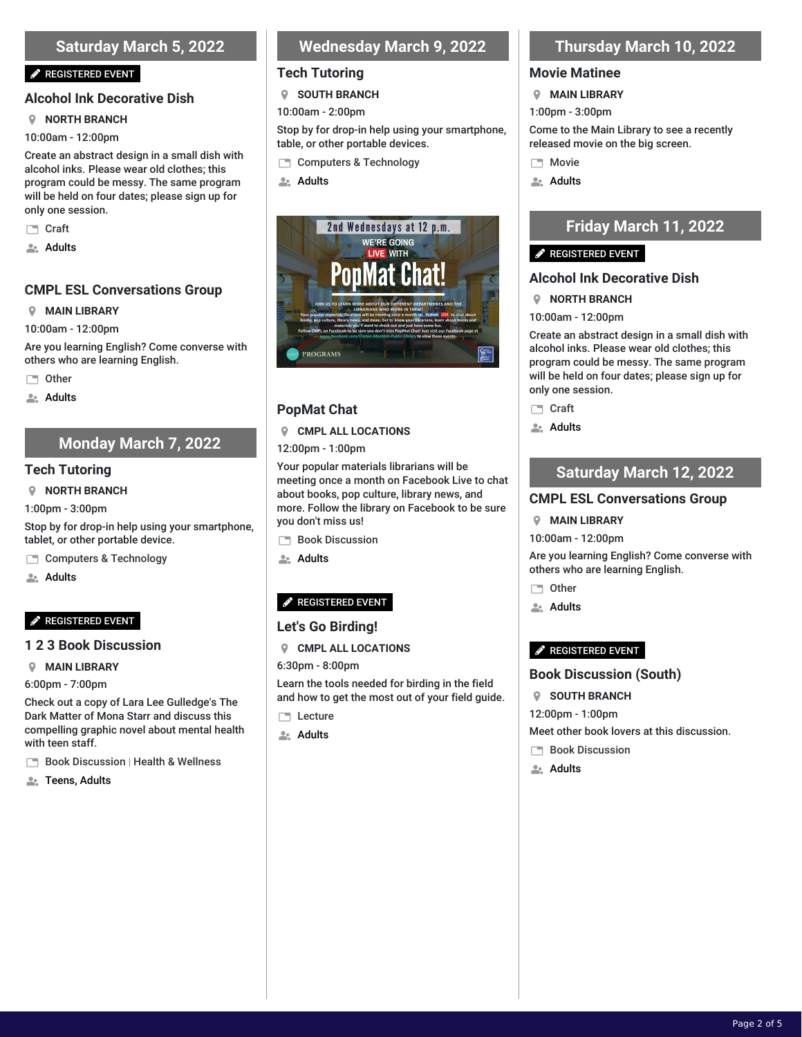## **Saturday March 5, 2022**

#### **P** REGISTERED EVENT

#### **Alcohol Ink Decorative Dish**

#### **NORTH BRANCH**

10:00am - 12:00pm

Create an abstract design in a small dish with alcohol inks. Please wear old clothes; this program could be messy. The same program will be held on four dates; please sign up for only one session.

- □ Craft
- **Adults**

### **CMPL ESL Conversations Group**

#### **MAIN LIBRARY**

10:00am - 12:00pm

Are you learning English? Come converse with others who are learning English.

**Other** 

**Adults** 

## **Monday March 7, 2022**

#### **Tech Tutoring**

**NORTH BRANCH**

1:00pm - 3:00pm

Stop by for drop-in help using your smartphone, tablet, or other portable device.

Computers & Technology

**Adults** 

### **P** REGISTERED EVENT

#### **1 2 3 Book Discussion**

**MAIN LIBRARY**

6:00pm - 7:00pm

Check out a copy of Lara Lee Gulledge's The Dark Matter of Mona Starr and discuss this compelling graphic novel about mental health with teen staff.

- Book Discussion | Health & Wellness
- **ALC** Teens, Adults

## **Wednesday March 9, 2022**

### **Tech Tutoring**

**SOUTH BRANCH**

10:00am - 2:00pm

Stop by for drop-in help using your smartphone, table, or other portable devices.

- Computers & Technology
- **Adults**



## **PopMat Chat**

#### **CMPL ALL LOCATIONS**

12:00pm - 1:00pm

Your popular materials librarians will be meeting once a month on Facebook Live to chat about books, pop culture, library news, and more. Follow the library on Facebook to be sure you don't miss us!

- **Book Discussion**
- **Adults**

## REGISTERED EVENT

### **Let's Go Birding!**

- **CMPL ALL LOCATIONS**
- 6:30pm 8:00pm

Learn the tools needed for birding in the field and how to get the most out of your field guide.

- **Lecture**
- **Adults**

## **Thursday March 10, 2022**

#### **Movie Matinee**

- **MAIN LIBRARY**
- 1:00pm 3:00pm

Come to the Main Library to see a recently released movie on the big screen.

- **Movie**
- **Adults**

## **Friday March 11, 2022**

### REGISTERED EVENT

### **Alcohol Ink Decorative Dish**

- **NORTH BRANCH**
- 10:00am 12:00pm

Create an abstract design in a small dish with alcohol inks. Please wear old clothes; this program could be messy. The same program will be held on four dates; please sign up for only one session.

- □ Craft
- **Adults**

## **Saturday March 12, 2022**

#### **CMPL ESL Conversations Group**

#### **MAIN LIBRARY**

10:00am - 12:00pm

Are you learning English? Come converse with others who are learning English.

- □ Other
- **Adults**

#### REGISTERED EVENT

### **Book Discussion (South)**

- **SOUTH BRANCH**
- 12:00pm 1:00pm
- Meet other book lovers at this discussion.
- **Book Discussion**
- **Adults**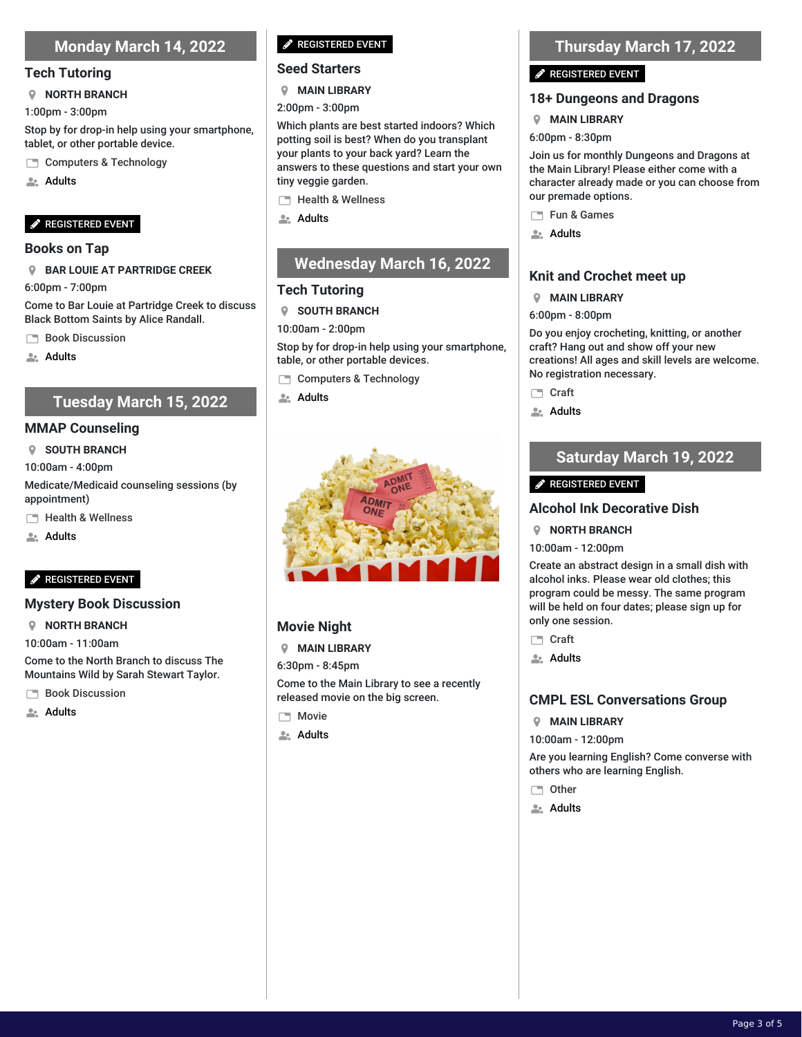## **Monday March 14, 2022**

#### **Tech Tutoring**

#### **NORTH BRANCH**

1:00pm - 3:00pm

Stop by for drop-in help using your smartphone, tablet, or other portable device.

- Computers & Technology
- **Adults**

#### REGISTERED EVENT

#### **Books on Tap**

#### **BAR LOUIE AT PARTRIDGE CREEK**

6:00pm - 7:00pm

Come to Bar Louie at Partridge Creek to discuss Black Bottom Saints by Alice Randall.

**Book Discussion** 

**Adults** 

## **Tuesday March 15, 2022**

#### **MMAP Counseling**

**SOUTH BRANCH**

10:00am - 4:00pm

Medicate/Medicaid counseling sessions (by appointment)

**Health & Wellness** 

**Adults** 

### REGISTERED EVENT

#### **Mystery Book Discussion**

**NORTH BRANCH**

10:00am - 11:00am

Come to the North Branch to discuss The Mountains Wild by Sarah Stewart Taylor.

- **Book Discussion**
- **Adults**

### **P** REGISTERED EVENT

#### **Seed Starters**

**MAIN LIBRARY**

2:00pm - 3:00pm

Which plants are best started indoors? Which potting soil is best? When do you transplant your plants to your back yard? Learn the answers to these questions and start your own tiny veggie garden.

Health & Wellness

**Adults** 

## **Wednesday March 16, 2022**

### **Tech Tutoring**

**SOUTH BRANCH**

10:00am - 2:00pm

Stop by for drop-in help using your smartphone, table, or other portable devices.

- Computers & Technology
- **Adults**



## **Movie Night**

**MAIN LIBRARY**

6:30pm - 8:45pm

Come to the Main Library to see a recently released movie on the big screen.

- **Movie**
- **Adults**

## **Thursday March 17, 2022**

#### REGISTERED EVENT

### **18+ Dungeons and Dragons**

#### **MAIN LIBRARY**

6:00pm - 8:30pm

Join us for monthly Dungeons and Dragons at the Main Library! Please either come with a character already made or you can choose from our premade options.

- Fun & Games
- **Adults**

## **Knit and Crochet meet up**

#### **MAIN LIBRARY**

#### 6:00pm - 8:00pm

Do you enjoy crocheting, knitting, or another craft? Hang out and show off your new creations! All ages and skill levels are welcome. No registration necessary.

- □ Craft
- **Adults**

## **Saturday March 19, 2022**

### REGISTERED EVENT

### **Alcohol Ink Decorative Dish**

**NORTH BRANCH**

10:00am - 12:00pm

Create an abstract design in a small dish with alcohol inks. Please wear old clothes; this program could be messy. The same program will be held on four dates; please sign up for only one session.

- □ Craft
- **Adults**

### **CMPL ESL Conversations Group**

**MAIN LIBRARY**

10:00am - 12:00pm

Are you learning English? Come converse with others who are learning English.

- □ Other
- **Adults**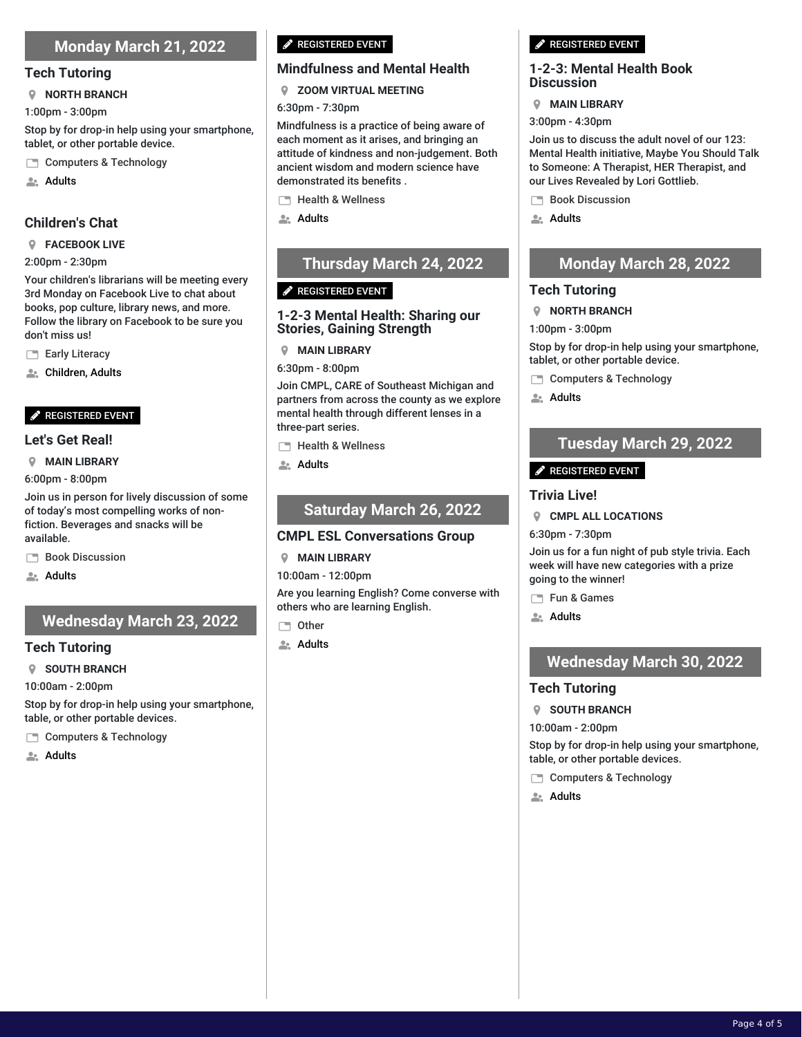## **Monday March 21, 2022**

#### **Tech Tutoring**

#### **NORTH BRANCH**

1:00pm - 3:00pm

Stop by for drop-in help using your smartphone, tablet, or other portable device.

Computers & Technology

**Adults** 

## **Children's Chat**

#### **FACEBOOK LIVE**

#### 2:00pm - 2:30pm

Your children's librarians will be meeting every 3rd Monday on Facebook Live to chat about books, pop culture, library news, and more. Follow the library on Facebook to be sure you don't miss us!

Early Literacy

**Let** Children, Adults

### REGISTERED EVENT

#### **Let's Get Real!**

**MAIN LIBRARY**

6:00pm - 8:00pm

Join us in person for lively discussion of some of today's most compelling works of nonfiction. Beverages and snacks will be available.

**Book Discussion** 

**Adults** 

## **Wednesday March 23, 2022**

### **Tech Tutoring**

**SOUTH BRANCH**

10:00am - 2:00pm

Stop by for drop-in help using your smartphone, table, or other portable devices.

Computers & Technology

**Adults** 

## **P** REGISTERED EVENT

## **Mindfulness and Mental Health**

**ZOOM VIRTUAL MEETING**

#### 6:30pm - 7:30pm

Mindfulness is a practice of being aware of each moment as it arises, and bringing an attitude of kindness and non-judgement. Both ancient wisdom and modern science have demonstrated its benefits .

Health & Wellness

**Adults** 

## **Thursday March 24, 2022**

### $\mathscr{P}$  REGISTERED EVENT

### **1-2-3 Mental Health: Sharing our Stories, Gaining Strength**

**MAIN LIBRARY**

6:30pm - 8:00pm

Join CMPL, CARE of Southeast Michigan and partners from across the county as we explore mental health through different lenses in a three-part series.

- **Health & Wellness**
- **Adults**

## **Saturday March 26, 2022**

## **CMPL ESL Conversations Group**

**MAIN LIBRARY**

10:00am - 12:00pm

Are you learning English? Come converse with others who are learning English.

- **Other**
- **Adults**

#### **P** REGISTERED EVENT

#### **1-2-3: Mental Health Book Discussion**

#### **MAIN LIBRARY**

3:00pm - 4:30pm

Join us to discuss the adult novel of our 123: Mental Health initiative, Maybe You Should Talk to Someone: A Therapist, HER Therapist, and our Lives Revealed by Lori Gottlieb.

- **Book Discussion**
- **Adults**

## **Monday March 28, 2022**

### **Tech Tutoring**

- **NORTH BRANCH**
- 1:00pm 3:00pm

Stop by for drop-in help using your smartphone, tablet, or other portable device.

- Computers & Technology
- **Adults**

## **Tuesday March 29, 2022**

## REGISTERED EVENT

### **Trivia Live!**

**CMPL ALL LOCATIONS**

6:30pm - 7:30pm

Join us for a fun night of pub style trivia. Each week will have new categories with a prize going to the winner!

Fun & Games

**Adults** 

## **Wednesday March 30, 2022**

## **Tech Tutoring**

**SOUTH BRANCH**

10:00am - 2:00pm

Stop by for drop-in help using your smartphone, table, or other portable devices.

- Computers & Technology
- **Adults**